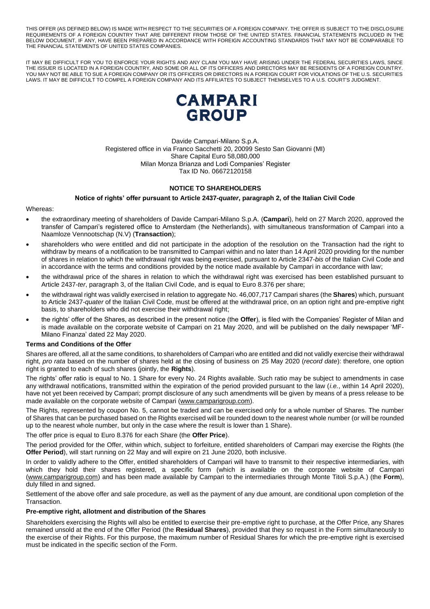THIS OFFER (AS DEFINED BELOW) IS MADE WITH RESPECT TO THE SECURITIES OF A FOREIGN COMPANY. THE OFFER IS SUBJECT TO THE DISCLOSURE REQUIREMENTS OF A FOREIGN COUNTRY THAT ARE DIFFERENT FROM THOSE OF THE UNITED STATES. FINANCIAL STATEMENTS INCLUDED IN THE BELOW DOCUMENT, IF ANY, HAVE BEEN PREPARED IN ACCORDANCE WITH FOREIGN ACCOUNTING STANDARDS THAT MAY NOT BE COMPARABLE TO THE FINANCIAL STATEMENTS OF UNITED STATES COMPANIES.

IT MAY BE DIFFICULT FOR YOU TO ENFORCE YOUR RIGHTS AND ANY CLAIM YOU MAY HAVE ARISING UNDER THE FEDERAL SECURITIES LAWS, SINCE THE ISSUER IS LOCATED IN A FOREIGN COUNTRY, AND SOME OR ALL OF ITS OFFICERS AND DIRECTORS MAY BE RESIDENTS OF A FOREIGN COUNTRY. YOU MAY NOT BE ABLE TO SUE A FOREIGN COMPANY OR ITS OFFICERS OR DIRECTORS IN A FOREIGN COURT FOR VIOLATIONS OF THE U.S. SECURITIES LAWS. IT MAY BE DIFFICULT TO COMPEL A FOREIGN COMPANY AND ITS AFFILIATES TO SUBJECT THEMSELVES TO A U.S. COURT'S JUDGMENT.



Davide Campari-Milano S.p.A. Registered office in via Franco Sacchetti 20, 20099 Sesto San Giovanni (MI) Share Capital Euro 58,080,000 Milan Monza Brianza and Lodi Companies' Register Tax ID No. 06672120158

# **NOTICE TO SHAREHOLDERS**

### **Notice of rights' offer pursuant to Article 2437-***quater***, paragraph 2, of the Italian Civil Code**

### Whereas:

- the extraordinary meeting of shareholders of Davide Campari-Milano S.p.A. (**Campari**), held on 27 March 2020, approved the transfer of Campari's registered office to Amsterdam (the Netherlands), with simultaneous transformation of Campari into a Naamloze Vennootschap (N.V) (**Transaction**);
- shareholders who were entitled and did not participate in the adoption of the resolution on the Transaction had the right to withdraw by means of a notification to be transmitted to Campari within and no later than 14 April 2020 providing for the number of shares in relation to which the withdrawal right was being exercised, pursuant to Article 2347-*bis* of the Italian Civil Code and in accordance with the terms and conditions provided by the notice made available by Campari in accordance with law;
- the withdrawal price of the shares in relation to which the withdrawal right was exercised has been established pursuant to Article 2437-*ter*, paragraph 3, of the Italian Civil Code, and is equal to Euro 8.376 per share;
- the withdrawal right was validly exercised in relation to aggregate No. 46,007,717 Campari shares (the **Shares**) which, pursuant to Article 2437-*quater* of the Italian Civil Code, must be offered at the withdrawal price, on an option right and pre-emptive right basis, to shareholders who did not exercise their withdrawal right;
- the rights' offer of the Shares, as described in the present notice (the **Offer**), is filed with the Companies' Register of Milan and is made available on the corporate website of Campari on 21 May 2020, and will be published on the daily newspaper 'MF-Milano Finanza' dated 22 May 2020.

## **Terms and Conditions of the Offer**

Shares are offered, all at the same conditions, to shareholders of Campari who are entitled and did not validly exercise their withdrawal right, *pro rata* based on the number of shares held at the closing of business on 25 May 2020 (*record date*): therefore, one option right is granted to each of such shares (jointly, the **Rights**).

The rights' offer ratio is equal to No. 1 Share for every No. 24 Rights available. Such ratio may be subject to amendments in case any withdrawal notifications, transmitted within the expiration of the period provided pursuant to the law (*i.e.*, within 14 April 2020), have not yet been received by Campari; prompt disclosure of any such amendments will be given by means of a press release to be made available on the corporate website of Campari [\(www.camparigroup.com\)](http://www.camparigroup.com/).

The Rights, represented by coupon No. 5, cannot be traded and can be exercised only for a whole number of Shares. The number of Shares that can be purchased based on the Rights exercised will be rounded down to the nearest whole number (or will be rounded up to the nearest whole number, but only in the case where the result is lower than 1 Share).

The offer price is equal to Euro 8.376 for each Share (the **Offer Price**).

The period provided for the Offer, within which, subject to forfeiture, entitled shareholders of Campari may exercise the Rights (the **Offer Period**), will start running on 22 May and will expire on 21 June 2020, both inclusive.

In order to validly adhere to the Offer, entitled shareholders of Campari will have to transmit to their respective intermediaries, with which they hold their shares registered, a specific form (which is available on the corporate website of Campari [\(www.camparigroup.com\)](http://www.camparigroup.com/) and has been made available by Campari to the intermediaries through Monte Titoli S.p.A.) (the **Form**), duly filled in and signed.

Settlement of the above offer and sale procedure, as well as the payment of any due amount, are conditional upon completion of the Transaction.

## **Pre-emptive right, allotment and distribution of the Shares**

Shareholders exercising the Rights will also be entitled to exercise their pre-emptive right to purchase, at the Offer Price, any Shares remained unsold at the end of the Offer Period (the **Residual Shares**), provided that they so request in the Form simultaneously to the exercise of their Rights. For this purpose, the maximum number of Residual Shares for which the pre-emptive right is exercised must be indicated in the specific section of the Form.